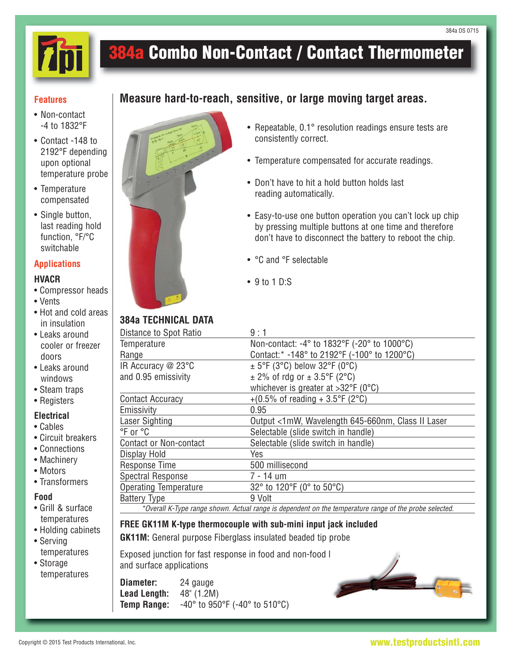

# **384a Combo Non-Contact / Contact Thermometer**

**Measure hard-to-reach, sensitive, or large moving target areas.**

#### **Features**

- Non-contact -4 to 1832°F
- Contact -148 to 2192°F depending upon optional temperature probe
- Temperature compensated
- Single button, last reading hold function, °F/°C switchable

### **Applications**

#### **HVACR**

- Compressor heads
- Vents
- Hot and cold areas in insulation
- Leaks around cooler or freezer doors
- Leaks around windows
- Steam traps
- Registers

## **Electrical**

- Cables
- Circuit breakers
- Connections
- Machinery
- Motors
- Transformers

#### **Food**

- Grill & surface temperatures
- Holding cabinets
- Serving temperatures
- Storage temperatures



- Repeatable, 0.1° resolution readings ensure tests are consistently correct.
- Temperature compensated for accurate readings.
- Don't have to hit a hold button holds last reading automatically.
- Easy-to-use one button operation you can't lock up chip by pressing multiple buttons at one time and therefore don't have to disconnect the battery to reboot the chip.
- °C and °F selectable
- 9 to 1 D:S

# **384a TECHNICAL DATA**

| Distance to Spot Ratio        | 9:1                                               |
|-------------------------------|---------------------------------------------------|
| Temperature                   | Non-contact: -4° to 1832°F (-20° to 1000°C)       |
| Range                         | Contact:* -148° to 2192°F (-100° to 1200°C)       |
| IR Accuracy @ 23°C            | $\pm$ 5°F (3°C) below 32°F (0°C)                  |
| and 0.95 emissivity           | $\pm$ 2% of rdg or $\pm$ 3.5°F (2°C)              |
|                               | whichever is greater at $>32^{\circ}F$ (0°C)      |
| Contact Accuracy              | +(0.5% of reading + 3.5°F (2°C)                   |
| Emissivity                    | 0.95                                              |
| Laser Sighting                | Output <1mW, Wavelength 645-660nm, Class II Laser |
| °F or °C                      | Selectable (slide switch in handle)               |
| <b>Contact or Non-contact</b> | Selectable (slide switch in handle)               |
| Display Hold                  | Yes                                               |
| <b>Response Time</b>          | 500 millisecond                                   |
| <b>Spectral Response</b>      | 7 - 14 um                                         |
| <b>Operating Temperature</b>  | 32° to 120°F (0° to 50°C)                         |
| <b>Battery Type</b>           | 9 Volt                                            |
|                               |                                                   |

\*Overall K-Type range shown. Actual range is dependent on the temperature range of the probe selected.

# **FREE GK11M K-type thermocouple with sub-mini input jack included**

**GK11M:** General purpose Fiberglass insulated beaded tip probe

Exposed junction for fast response in food and non-food I and surface applications

**Diameter:** 24 gauge **Lead Length:** 48" (1.2M) **Temp Range:** -40° to 950°F (-40° to 510°C)



### **www.testproductsintl.com**